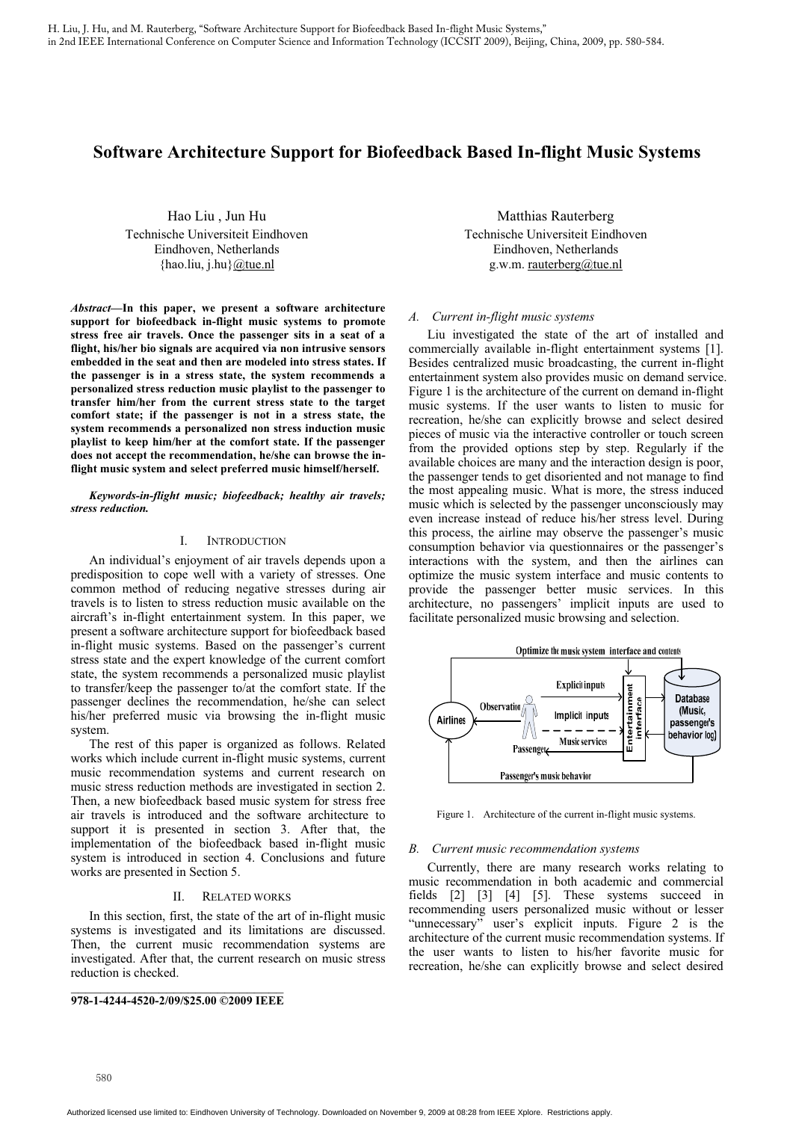# **Software Architecture Support for Biofeedback Based In-flight Music Systems**

Hao Liu , Jun Hu Technische Universiteit Eindhoven Eindhoven, Netherlands {hao.liu, j.hu} $@$ tue.nl

*Abstract***—In this paper, we present a software architecture support for biofeedback in-flight music systems to promote stress free air travels. Once the passenger sits in a seat of a flight, his/her bio signals are acquired via non intrusive sensors embedded in the seat and then are modeled into stress states. If the passenger is in a stress state, the system recommends a personalized stress reduction music playlist to the passenger to transfer him/her from the current stress state to the target comfort state; if the passenger is not in a stress state, the system recommends a personalized non stress induction music playlist to keep him/her at the comfort state. If the passenger does not accept the recommendation, he/she can browse the inflight music system and select preferred music himself/herself.**

*Keywords-in-flight music; biofeedback; healthy air travels; stress reduction.*

#### I. INTRODUCTION

An individual's enjoyment of air travels depends upon a predisposition to cope well with a variety of stresses. One common method of reducing negative stresses during air travels is to listen to stress reduction music available on the aircraft's in-flight entertainment system. In this paper, we present a software architecture support for biofeedback based in-flight music systems. Based on the passenger's current stress state and the expert knowledge of the current comfort state, the system recommends a personalized music playlist to transfer/keep the passenger to/at the comfort state. If the passenger declines the recommendation, he/she can select his/her preferred music via browsing the in-flight music system.

The rest of this paper is organized as follows. Related works which include current in-flight music systems, current music recommendation systems and current research on music stress reduction methods are investigated in section 2. Then, a new biofeedback based music system for stress free air travels is introduced and the software architecture to support it is presented in section 3. After that, the implementation of the biofeedback based in-flight music system is introduced in section 4. Conclusions and future works are presented in Section 5.

## II. RELATED WORKS

In this section, first, the state of the art of in-flight music systems is investigated and its limitations are discussed. Then, the current music recommendation systems are investigated. After that, the current research on music stress reduction is checked. \_\_\_\_\_\_\_\_\_\_\_\_\_\_\_\_\_\_\_\_\_\_\_\_\_\_\_\_\_

#### **978-1-4244-4520-2/09/\$25.00 ©2009 IEEE**

Matthias Rauterberg Technische Universiteit Eindhoven Eindhoven, Netherlands g.w.m. rauterberg@tue.nl

## *A. Current in-flight music systems*

Liu investigated the state of the art of installed and commercially available in-flight entertainment systems [1]. Besides centralized music broadcasting, the current in-flight entertainment system also provides music on demand service. Figure 1 is the architecture of the current on demand in-flight music systems. If the user wants to listen to music for recreation, he/she can explicitly browse and select desired pieces of music via the interactive controller or touch screen from the provided options step by step. Regularly if the available choices are many and the interaction design is poor, the passenger tends to get disoriented and not manage to find the most appealing music. What is more, the stress induced music which is selected by the passenger unconsciously may even increase instead of reduce his/her stress level. During this process, the airline may observe the passenger's music consumption behavior via questionnaires or the passenger's interactions with the system, and then the airlines can optimize the music system interface and music contents to provide the passenger better music services. In this architecture, no passengers' implicit inputs are used to facilitate personalized music browsing and selection.



Figure 1. Architecture of the current in-flight music systems.

#### *B. Current music recommendation systems*

Currently, there are many research works relating to music recommendation in both academic and commercial fields [2] [3] [4] [5]. These systems succeed in recommending users personalized music without or lesser "unnecessary" user's explicit inputs. Figure 2 is the architecture of the current music recommendation systems. If the user wants to listen to his/her favorite music for recreation, he/she can explicitly browse and select desired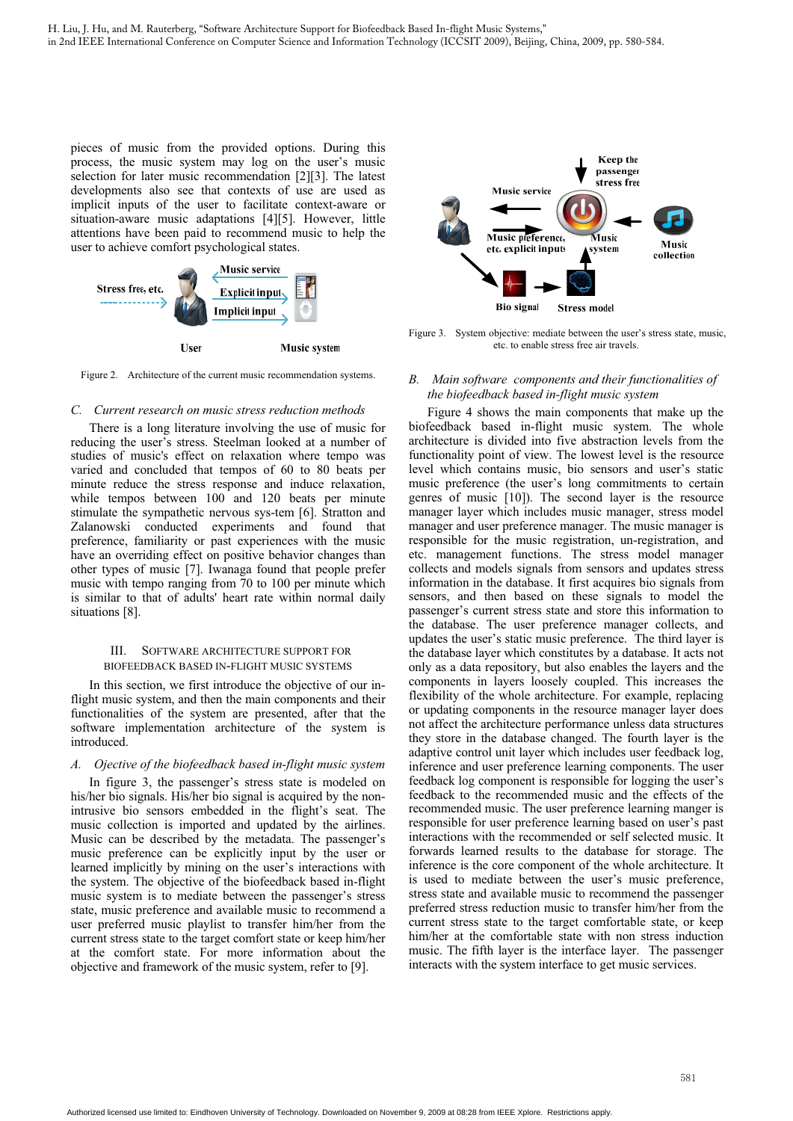pieces of music from the provided options. During this process, the music system may log on the user's music selection for later music recommendation [2][3]. The latest developments also see that contexts of use are used as implicit inputs of the user to facilitate context-aware or situation-aware music adaptations [4][5]. However, little attentions have been paid to recommend music to help the user to achieve comfort psychological states.



Figure 2. Architecture of the current music recommendation systems.

### *C. Current research on music stress reduction methods*

There is a long literature involving the use of music for reducing the user's stress. Steelman looked at a number of studies of music's effect on relaxation where tempo was varied and concluded that tempos of 60 to 80 beats per minute reduce the stress response and induce relaxation, while tempos between 100 and 120 beats per minute stimulate the sympathetic nervous sys-tem [6]. Stratton and Zalanowski conducted experiments and found that preference, familiarity or past experiences with the music have an overriding effect on positive behavior changes than other types of music [7]. Iwanaga found that people prefer music with tempo ranging from 70 to 100 per minute which is similar to that of adults' heart rate within normal daily situations [8].

# III. SOFTWARE ARCHITECTURE SUPPORT FOR BIOFEEDBACK BASED IN-FLIGHT MUSIC SYSTEMS

In this section, we first introduce the objective of our inflight music system, and then the main components and their functionalities of the system are presented, after that the software implementation architecture of the system is introduced.

### *A. Ojective of the biofeedback based in-flight music system*

In figure 3, the passenger's stress state is modeled on his/her bio signals. His/her bio signal is acquired by the nonintrusive bio sensors embedded in the flight's seat. The music collection is imported and updated by the airlines. Music can be described by the metadata. The passenger's music preference can be explicitly input by the user or learned implicitly by mining on the user's interactions with the system. The objective of the biofeedback based in-flight music system is to mediate between the passenger's stress state, music preference and available music to recommend a user preferred music playlist to transfer him/her from the current stress state to the target comfort state or keep him/her at the comfort state. For more information about the objective and framework of the music system, refer to [9].



Figure 3. System objective: mediate between the user's stress state, music, etc. to enable stress free air travels.

## *B. Main software components and their functionalities of the biofeedback based in-flight music system*

Figure 4 shows the main components that make up the biofeedback based in-flight music system. The whole architecture is divided into five abstraction levels from the functionality point of view. The lowest level is the resource level which contains music, bio sensors and user's static music preference (the user's long commitments to certain genres of music [10]). The second layer is the resource manager layer which includes music manager, stress model manager and user preference manager. The music manager is responsible for the music registration, un-registration, and etc. management functions. The stress model manager collects and models signals from sensors and updates stress information in the database. It first acquires bio signals from sensors, and then based on these signals to model the passenger's current stress state and store this information to the database. The user preference manager collects, and updates the user's static music preference. The third layer is the database layer which constitutes by a database. It acts not only as a data repository, but also enables the layers and the components in layers loosely coupled. This increases the flexibility of the whole architecture. For example, replacing or updating components in the resource manager layer does not affect the architecture performance unless data structures they store in the database changed. The fourth layer is the adaptive control unit layer which includes user feedback log, inference and user preference learning components. The user feedback log component is responsible for logging the user's feedback to the recommended music and the effects of the recommended music. The user preference learning manger is responsible for user preference learning based on user's past interactions with the recommended or self selected music. It forwards learned results to the database for storage. The inference is the core component of the whole architecture. It is used to mediate between the user's music preference, stress state and available music to recommend the passenger preferred stress reduction music to transfer him/her from the current stress state to the target comfortable state, or keep him/her at the comfortable state with non stress induction music. The fifth layer is the interface layer. The passenger interacts with the system interface to get music services.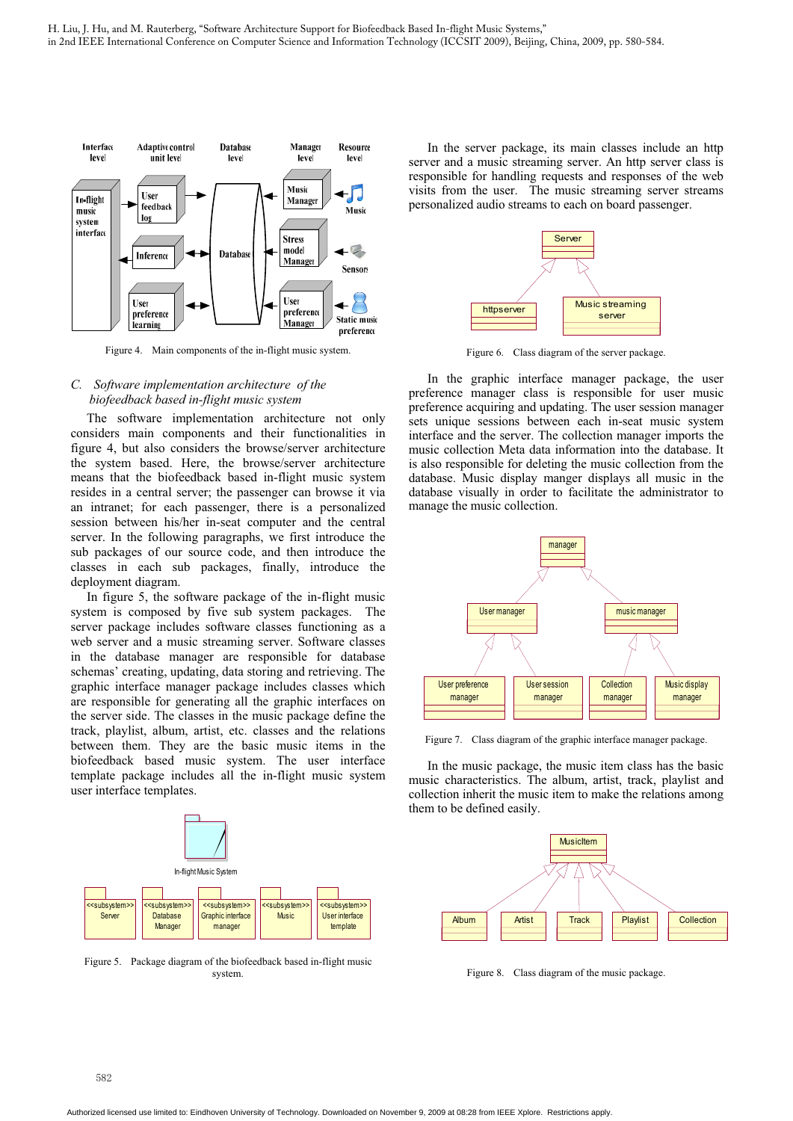

Figure 4. Main components of the in-flight music system.

# *C. Software implementation architecture of the biofeedback based in-flight music system*

The software implementation architecture not only considers main components and their functionalities in figure 4, but also considers the browse/server architecture the system based. Here, the browse/server architecture means that the biofeedback based in-flight music system resides in a central server; the passenger can browse it via an intranet; for each passenger, there is a personalized session between his/her in-seat computer and the central server. In the following paragraphs, we first introduce the sub packages of our source code, and then introduce the classes in each sub packages, finally, introduce the deployment diagram.

 In figure 5, the software package of the in-flight music system is composed by five sub system packages. The server package includes software classes functioning as a web server and a music streaming server. Software classes in the database manager are responsible for database schemas' creating, updating, data storing and retrieving. The graphic interface manager package includes classes which are responsible for generating all the graphic interfaces on the server side. The classes in the music package define the track, playlist, album, artist, etc. classes and the relations between them. They are the basic music items in the biofeedback based music system. The user interface template package includes all the in-flight music system user interface templates.



Figure 5. Package diagram of the biofeedback based in-flight music system.

In the server package, its main classes include an http server and a music streaming server. An http server class is responsible for handling requests and responses of the web visits from the user. The music streaming server streams personalized audio streams to each on board passenger.



Figure 6. Class diagram of the server package.

In the graphic interface manager package, the user preference manager class is responsible for user music preference acquiring and updating. The user session manager sets unique sessions between each in-seat music system interface and the server. The collection manager imports the music collection Meta data information into the database. It is also responsible for deleting the music collection from the database. Music display manger displays all music in the database visually in order to facilitate the administrator to manage the music collection.



Figure 7. Class diagram of the graphic interface manager package.

In the music package, the music item class has the basic music characteristics. The album, artist, track, playlist and collection inherit the music item to make the relations among them to be defined easily.



Figure 8. Class diagram of the music package.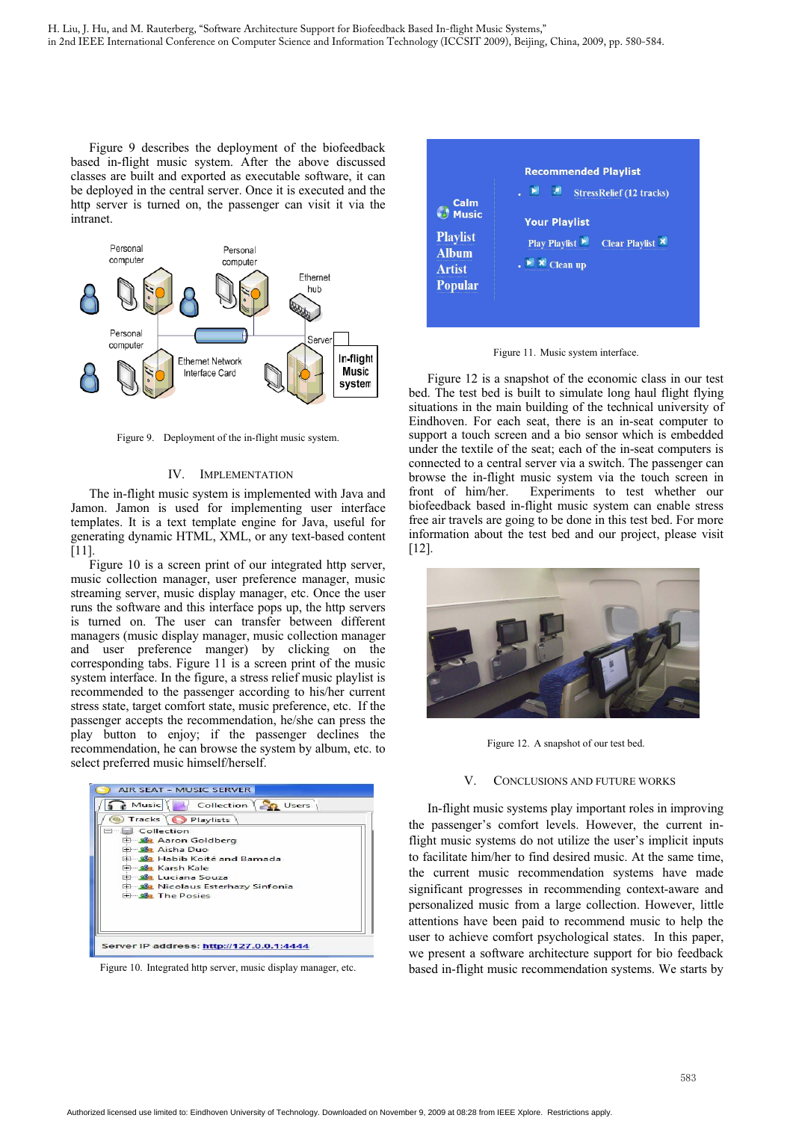Figure 9 describes the deployment of the biofeedback based in-flight music system. After the above discussed classes are built and exported as executable software, it can be deployed in the central server. Once it is executed and the http server is turned on, the passenger can visit it via the intranet.



Figure 9. Deployment of the in-flight music system.

## IV. IMPLEMENTATION

The in-flight music system is implemented with Java and Jamon. Jamon is used for implementing user interface templates. It is a text template engine for Java, useful for generating dynamic HTML, XML, or any text-based content [11].

Figure 10 is a screen print of our integrated http server, music collection manager, user preference manager, music streaming server, music display manager, etc. Once the user runs the software and this interface pops up, the http servers is turned on. The user can transfer between different managers (music display manager, music collection manager and user preference manger) by clicking on the corresponding tabs. Figure 11 is a screen print of the music system interface. In the figure, a stress relief music playlist is recommended to the passenger according to his/her current stress state, target comfort state, music preference, etc. If the passenger accepts the recommendation, he/she can press the play button to enjoy; if the passenger declines the recommendation, he can browse the system by album, etc. to select preferred music himself/herself.



Figure 10. Integrated http server, music display manager, etc.



Figure 11. Music system interface.

Figure 12 is a snapshot of the economic class in our test bed. The test bed is built to simulate long haul flight flying situations in the main building of the technical university of Eindhoven. For each seat, there is an in-seat computer to support a touch screen and a bio sensor which is embedded under the textile of the seat; each of the in-seat computers is connected to a central server via a switch. The passenger can browse the in-flight music system via the touch screen in front of him/her. Experiments to test whether our biofeedback based in-flight music system can enable stress free air travels are going to be done in this test bed. For more information about the test bed and our project, please visit [12].



Figure 12. A snapshot of our test bed.

#### V. CONCLUSIONS AND FUTURE WORKS

In-flight music systems play important roles in improving the passenger's comfort levels. However, the current inflight music systems do not utilize the user's implicit inputs to facilitate him/her to find desired music. At the same time, the current music recommendation systems have made significant progresses in recommending context-aware and personalized music from a large collection. However, little attentions have been paid to recommend music to help the user to achieve comfort psychological states. In this paper, we present a software architecture support for bio feedback based in-flight music recommendation systems. We starts by